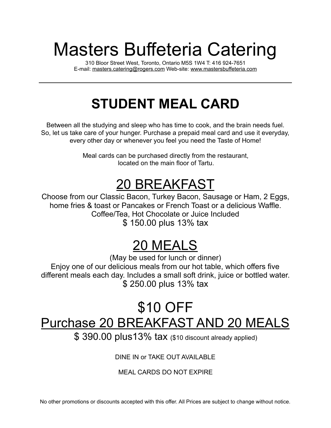# Masters Buffeteria Catering

310 Bloor Street West, Toronto, Ontario M5S 1W4 T: 416 924-7651 E-mail: [masters.catering@rogers.com](mailto:masters.catering@rogers.com) Web-site: [www.mastersbuffeteria.com](http://www.mastersbuffeteria.com)

## **STUDENT MEAL CARD**

Between all the studying and sleep who has time to cook, and the brain needs fuel. So, let us take care of your hunger. Purchase a prepaid meal card and use it everyday, every other day or whenever you feel you need the Taste of Home!

> Meal cards can be purchased directly from the restaurant, located on the main floor of Tartu.

#### 20 BREAKFAST

Choose from our Classic Bacon, Turkey Bacon, Sausage or Ham, 2 Eggs, home fries & toast or Pancakes or French Toast or a delicious Waffle. Coffee/Tea, Hot Chocolate or Juice Included \$ 150.00 plus 13% tax

### 20 MEALS

(May be used for lunch or dinner) Enjoy one of our delicious meals from our hot table, which offers five different meals each day. Includes a small soft drink, juice or bottled water. \$ 250.00 plus 13% tax

#### \$10 OFF Purchase 20 BREAKFAST AND 20 MEALS

\$ 390.00 plus13% tax (\$10 discount already applied)

DINE IN or TAKE OUT AVAILABLE

#### MEAL CARDS DO NOT EXPIRE

No other promotions or discounts accepted with this offer. All Prices are subject to change without notice.